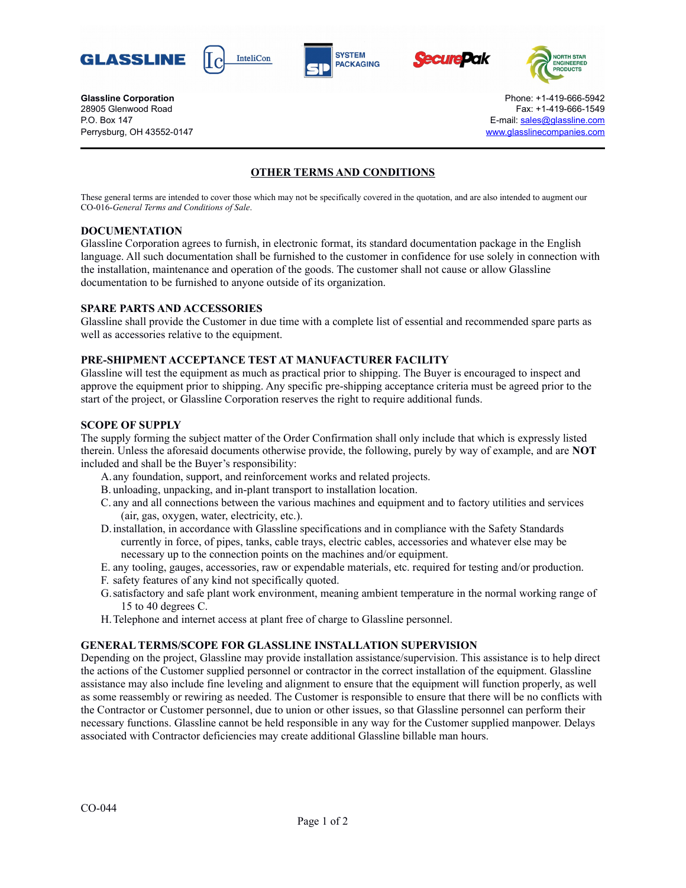









**Glassline Corporation Corporation Constant Corporation Constant Corporation Phone: +1-419-666-5942** 28905 Glenwood Road Fax: +1-419-666-1549 P.O. Box 147 E-mail: [sales@glassline.com](mailto:sales@glassline.com) Perrysburg, OH 43552-0147 [www.glasslinecompanies.com](http://www.glasslinecompanies.com/)

# **OTHER TERMS AND CONDITIONS**

These general terms are intended to cover those which may not be specifically covered in the quotation, and are also intended to augment our CO-016-*General Terms and Conditions of Sale*.

## **DOCUMENTATION**

Glassline Corporation agrees to furnish, in electronic format, its standard documentation package in the English language. All such documentation shall be furnished to the customer in confidence for use solely in connection with the installation, maintenance and operation of the goods. The customer shall not cause or allow Glassline documentation to be furnished to anyone outside of its organization.

### **SPARE PARTS AND ACCESSORIES**

Glassline shall provide the Customer in due time with a complete list of essential and recommended spare parts as well as accessories relative to the equipment.

### **PRE-SHIPMENT ACCEPTANCE TEST AT MANUFACTURER FACILITY**

Glassline will test the equipment as much as practical prior to shipping. The Buyer is encouraged to inspect and approve the equipment prior to shipping. Any specific pre-shipping acceptance criteria must be agreed prior to the start of the project, or Glassline Corporation reserves the right to require additional funds.

#### **SCOPE OF SUPPLY**

The supply forming the subject matter of the Order Confirmation shall only include that which is expressly listed therein. Unless the aforesaid documents otherwise provide, the following, purely by way of example, and are **NOT** included and shall be the Buyer's responsibility:

- A.any foundation, support, and reinforcement works and related projects.
- B. unloading, unpacking, and in-plant transport to installation location.
- C. any and all connections between the various machines and equipment and to factory utilities and services (air, gas, oxygen, water, electricity, etc.).
- D.installation, in accordance with Glassline specifications and in compliance with the Safety Standards currently in force, of pipes, tanks, cable trays, electric cables, accessories and whatever else may be necessary up to the connection points on the machines and/or equipment.
- E. any tooling, gauges, accessories, raw or expendable materials, etc. required for testing and/or production.
- F. safety features of any kind not specifically quoted.
- G.satisfactory and safe plant work environment, meaning ambient temperature in the normal working range of 15 to 40 degrees C.
- H.Telephone and internet access at plant free of charge to Glassline personnel.

#### **GENERAL TERMS/SCOPE FOR GLASSLINE INSTALLATION SUPERVISION**

Depending on the project, Glassline may provide installation assistance/supervision. This assistance is to help direct the actions of the Customer supplied personnel or contractor in the correct installation of the equipment. Glassline assistance may also include fine leveling and alignment to ensure that the equipment will function properly, as well as some reassembly or rewiring as needed. The Customer is responsible to ensure that there will be no conflicts with the Contractor or Customer personnel, due to union or other issues, so that Glassline personnel can perform their necessary functions. Glassline cannot be held responsible in any way for the Customer supplied manpower. Delays associated with Contractor deficiencies may create additional Glassline billable man hours.